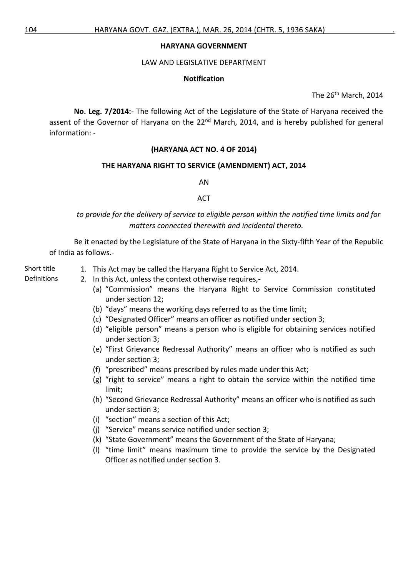#### **HARYANA GOVERNMENT**

#### LAW AND LEGISLATIVE DEPARTMENT

### **Notification**

The 26<sup>th</sup> March, 2014

**No. Leg. 7/2014:**- The following Act of the Legislature of the State of Haryana received the assent of the Governor of Haryana on the 22<sup>nd</sup> March, 2014, and is hereby published for general information: -

## **(HARYANA ACT NO. 4 OF 2014)**

#### **THE HARYANA RIGHT TO SERVICE (AMENDMENT) ACT, 2014**

AN

#### ACT

*to provide for the delivery of service to eligible person within the notified time limits and for matters connected therewith and incidental thereto.*

Be it enacted by the Legislature of the State of Haryana in the Sixty-fifth Year of the Republic of India as follows.-

- Short title 1. This Act may be called the Haryana Right to Service Act, 2014.
- 
- Definitions 2. In this Act, unless the context otherwise requires,-
	- (a) "Commission" means the Haryana Right to Service Commission constituted under section 12;
	- (b) "days" means the working days referred to as the time limit;
	- (c) "Designated Officer" means an officer as notified under section 3;
	- (d) "eligible person" means a person who is eligible for obtaining services notified under section 3;
	- (e) "First Grievance Redressal Authority" means an officer who is notified as such under section 3;
	- (f) "prescribed" means prescribed by rules made under this Act;
	- (g) "right to service" means a right to obtain the service within the notified time limit;
	- (h) "Second Grievance Redressal Authority" means an officer who is notified as such under section 3;
	- (i) "section" means a section of this Act;
	- (j) "Service" means service notified under section 3;
	- (k) "State Government" means the Government of the State of Haryana;
	- (l) "time limit" means maximum time to provide the service by the Designated Officer as notified under section 3.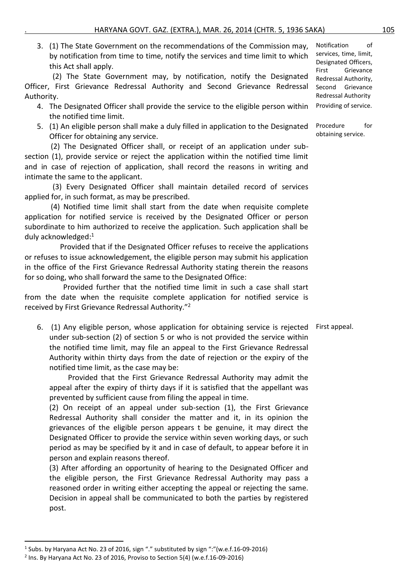3. (1) The State Government on the recommendations of the Commission may, by notification from time to time, notify the services and time limit to which this Act shall apply.

 (2) The State Government may, by notification, notify the Designated Officer, First Grievance Redressal Authority and Second Grievance Redressal Authority.

- 4. The Designated Officer shall provide the service to the eligible person within the notified time limit.
- 5. (1) An eligible person shall make a duly filled in application to the Designated Officer for obtaining any service.

 (2) The Designated Officer shall, or receipt of an application under subsection (1), provide service or reject the application within the notified time limit and in case of rejection of application, shall record the reasons in writing and intimate the same to the applicant.

 (3) Every Designated Officer shall maintain detailed record of services applied for, in such format, as may be prescribed.

 (4) Notified time limit shall start from the date when requisite complete application for notified service is received by the Designated Officer or person subordinate to him authorized to receive the application. Such application shall be duly acknowledged:<sup>1</sup>

 Provided that if the Designated Officer refuses to receive the applications or refuses to issue acknowledgement, the eligible person may submit his application in the office of the First Grievance Redressal Authority stating therein the reasons for so doing, who shall forward the same to the Designated Office:

 Provided further that the notified time limit in such a case shall start from the date when the requisite complete application for notified service is received by First Grievance Redressal Authority."<sup>2</sup>

6. (1) Any eligible person, whose application for obtaining service is rejected First appeal. under sub-section (2) of section 5 or who is not provided the service within the notified time limit, may file an appeal to the First Grievance Redressal Authority within thirty days from the date of rejection or the expiry of the notified time limit, as the case may be:

 Provided that the First Grievance Redressal Authority may admit the appeal after the expiry of thirty days if it is satisfied that the appellant was prevented by sufficient cause from filing the appeal in time.

(2) On receipt of an appeal under sub-section (1), the First Grievance Redressal Authority shall consider the matter and it, in its opinion the grievances of the eligible person appears t be genuine, it may direct the Designated Officer to provide the service within seven working days, or such period as may be specified by it and in case of default, to appear before it in person and explain reasons thereof.

(3) After affording an opportunity of hearing to the Designated Officer and the eligible person, the First Grievance Redressal Authority may pass a reasoned order in writing either accepting the appeal or rejecting the same. Decision in appeal shall be communicated to both the parties by registered post.

Notification of services, time, limit, Designated Officers, First Grievance Redressal Authority, Second Grievance Redressal Authority Providing of service.

Procedure for obtaining service.

<sup>&</sup>lt;sup>1</sup> Subs. by Haryana Act No. 23 of 2016, sign "." substituted by sign ":"(w.e.f.16-09-2016)

 $2$  Ins. By Haryana Act No. 23 of 2016, Proviso to Section 5(4) (w.e.f.16-09-2016)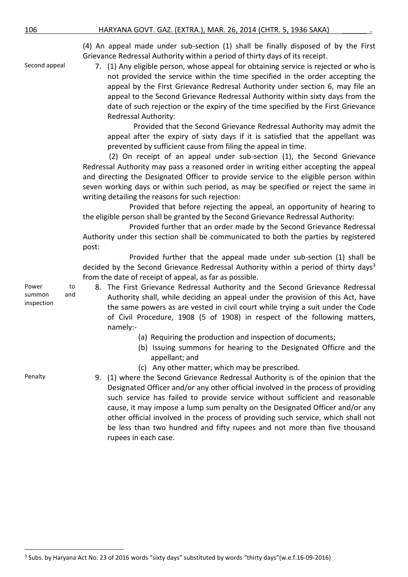(4) An appeal made under sub-section (1) shall be finally disposed of by the First Grievance Redressal Authority within a period of thirty days of its receipt.

Second appeal 7. (1) Any eligible person, whose appeal for obtaining service is rejected or who is not provided the service within the time specified in the order accepting the appeal by the First Grievance Redresal Authority under section 6, may file an appeal to the Second Grievance Redressal Authority within sixty days from the date of such rejection or the expiry of the time specified by the First Grievance Redressal Authority:

> Provided that the Second Grievance Redressal Authority may admit the appeal after the expiry of sixty days if it is satisfied that the appellant was prevented by sufficient cause from filing the appeal in time.

 (2) On receipt of an appeal under sub-section (1), the Second Grievance Redressal Authority may pass a reasoned order in writing either accepting the appeal and directing the Designated Officer to provide service to the eligible person within seven working days or within such period, as may be specified or reject the same in writing detailing the reasons for such rejection:

 Provided that before rejecting the appeal, an opportunity of hearing to the eligible person shall be granted by the Second Grievance Redressal Authority:

 Provided further that an order made by the Second Grievance Redressal Authority under this section shall be communicated to both the parties by registered post:

 Provided further that the appeal made under sub-section (1) shall be decided by the Second Grievance Redressal Authority within a period of thirty days<sup>3</sup> from the date of receipt of appeal, as far as possible.

8. The First Grievance Redressal Authority and the Second Grievance Redressal Authority shall, while deciding an appeal under the provision of this Act, have the same powers as are vested in civil court while trying a suit under the Code of Civil Procedure, 1908 (5 of 1908) in respect of the following matters, namely:-

- (a) Requiring the production and inspection of documents;
- (b) Issuing summons for hearing to the Designated Officre and the appellant; and
- (c) Any other matter, which may be prescribed.

Penalty 9. (1) where the Second Grievance Redressal Authority is of the opinion that the Designated Officer and/or any other official involved in the process of providing such service has failed to provide service without sufficient and reasonable cause, it may impose a lump sum penalty on the Designated Officer and/or any other official involved in the process of providing such service, which shall not be less than two hundred and fifty rupees and not more than five thousand rupees in each case.

Power to summon and inspection

<sup>&</sup>lt;sup>3</sup> Subs. by Haryana Act No. 23 of 2016 words "sixty days" substituted by words "thirty days" (w.e.f.16-09-2016)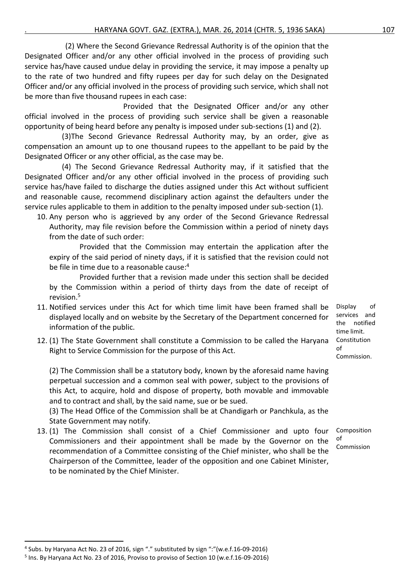(2) Where the Second Grievance Redressal Authority is of the opinion that the Designated Officer and/or any other official involved in the process of providing such service has/have caused undue delay in providing the service, it may impose a penalty up to the rate of two hundred and fifty rupees per day for such delay on the Designated Officer and/or any official involved in the process of providing such service, which shall not be more than five thousand rupees in each case:

Provided that the Designated Officer and/or any other official involved in the process of providing such service shall be given a reasonable opportunity of being heard before any penalty is imposed under sub-sections (1) and (2).

 (3)The Second Grievance Redressal Authority may, by an order, give as compensation an amount up to one thousand rupees to the appellant to be paid by the Designated Officer or any other official, as the case may be.

 (4) The Second Grievance Redressal Authority may, if it satisfied that the Designated Officer and/or any other official involved in the process of providing such service has/have failed to discharge the duties assigned under this Act without sufficient and reasonable cause, recommend disciplinary action against the defaulters under the service rules applicable to them in addition to the penalty imposed under sub-section (1).

10. Any person who is aggrieved by any order of the Second Grievance Redressal Authority, may file revision before the Commission within a period of ninety days from the date of such order:

 Provided that the Commission may entertain the application after the expiry of the said period of ninety days, if it is satisfied that the revision could not be file in time due to a reasonable cause: 4

 Provided further that a revision made under this section shall be decided by the Commission within a period of thirty days from the date of receipt of revision. 5

- 11. Notified services under this Act for which time limit have been framed shall be displayed locally and on website by the Secretary of the Department concerned for information of the public.
- 12. (1) The State Government shall constitute a Commission to be called the Haryana Right to Service Commission for the purpose of this Act.

(2) The Commission shall be a statutory body, known by the aforesaid name having perpetual succession and a common seal with power, subject to the provisions of this Act, to acquire, hold and dispose of property, both movable and immovable and to contract and shall, by the said name, sue or be sued.

(3) The Head Office of the Commission shall be at Chandigarh or Panchkula, as the State Government may notify.

13. (1) The Commission shall consist of a Chief Commissioner and upto four Commissioners and their appointment shall be made by the Governor on the recommendation of a Committee consisting of the Chief minister, who shall be the Chairperson of the Committee, leader of the opposition and one Cabinet Minister, to be nominated by the Chief Minister.

Display of services and the notified time limit. Constitution of Commission.

Composition of Commission

<sup>&</sup>lt;sup>4</sup> Subs. by Haryana Act No. 23 of 2016, sign "." substituted by sign ":"(w.e.f.16-09-2016)

<sup>&</sup>lt;sup>5</sup> Ins. By Haryana Act No. 23 of 2016, Proviso to proviso of Section 10 (w.e.f.16-09-2016)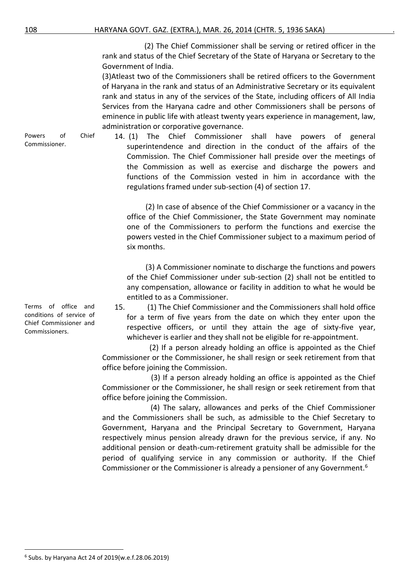(2) The Chief Commissioner shall be serving or retired officer in the rank and status of the Chief Secretary of the State of Haryana or Secretary to the Government of India.

(3)Atleast two of the Commissioners shall be retired officers to the Government of Haryana in the rank and status of an Administrative Secretary or its equivalent rank and status in any of the services of the State, including officers of All India Services from the Haryana cadre and other Commissioners shall be persons of eminence in public life with atleast twenty years experience in management, law, administration or corporative governance.

Powers of Chief 14. (1) The Chief Commissioner shall have powers of general superintendence and direction in the conduct of the affairs of the Commission. The Chief Commissioner hall preside over the meetings of the Commission as well as exercise and discharge the powers and functions of the Commission vested in him in accordance with the regulations framed under sub-section (4) of section 17.

> (2) In case of absence of the Chief Commissioner or a vacancy in the office of the Chief Commissioner, the State Government may nominate one of the Commissioners to perform the functions and exercise the powers vested in the Chief Commissioner subject to a maximum period of six months.

> (3) A Commissioner nominate to discharge the functions and powers of the Chief Commissioner under sub-section (2) shall not be entitled to any compensation, allowance or facility in addition to what he would be entitled to as a Commissioner.

15. (1) The Chief Commissioner and the Commissioners shall hold office for a term of five years from the date on which they enter upon the respective officers, or until they attain the age of sixty-five year, whichever is earlier and they shall not be eligible for re-appointment.

(2) If a person already holding an office is appointed as the Chief Commissioner or the Commissioner, he shall resign or seek retirement from that office before joining the Commission.

(3) If a person already holding an office is appointed as the Chief Commissioner or the Commissioner, he shall resign or seek retirement from that office before joining the Commission.

 (4) The salary, allowances and perks of the Chief Commissioner and the Commissioners shall be such, as admissible to the Chief Secretary to Government, Haryana and the Principal Secretary to Government, Haryana respectively minus pension already drawn for the previous service, if any. No additional pension or death-cum-retirement gratuity shall be admissible for the period of qualifying service in any commission or authority. If the Chief Commissioner or the Commissioner is already a pensioner of any Government.<sup>6</sup>

Terms of office and conditions of service of Chief Commissioner and Commissioners.

Commissioner.

<sup>6</sup> Subs. by Haryana Act 24 of 2019(w.e.f.28.06.2019)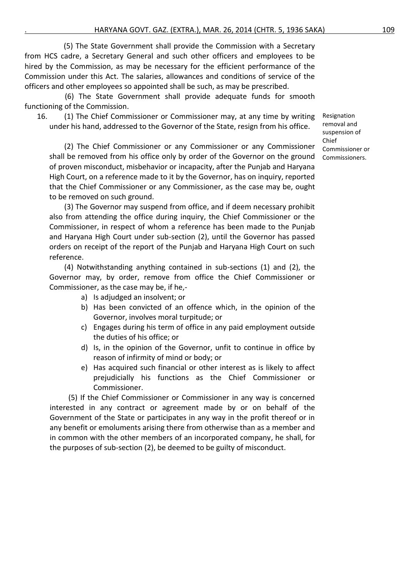(5) The State Government shall provide the Commission with a Secretary from HCS cadre, a Secretary General and such other officers and employees to be hired by the Commission, as may be necessary for the efficient performance of the Commission under this Act. The salaries, allowances and conditions of service of the officers and other employees so appointed shall be such, as may be prescribed.

(6) The State Government shall provide adequate funds for smooth functioning of the Commission.

16. (1) The Chief Commissioner or Commissioner may, at any time by writing under his hand, addressed to the Governor of the State, resign from his office.

 (2) The Chief Commissioner or any Commissioner or any Commissioner shall be removed from his office only by order of the Governor on the ground of proven misconduct, misbehavior or incapacity, after the Punjab and Haryana High Court, on a reference made to it by the Governor, has on inquiry, reported that the Chief Commissioner or any Commissioner, as the case may be, ought to be removed on such ground.

 (3) The Governor may suspend from office, and if deem necessary prohibit also from attending the office during inquiry, the Chief Commissioner or the Commissioner, in respect of whom a reference has been made to the Punjab and Haryana High Court under sub-section (2), until the Governor has passed orders on receipt of the report of the Punjab and Haryana High Court on such reference.

 (4) Notwithstanding anything contained in sub-sections (1) and (2), the Governor may, by order, remove from office the Chief Commissioner or Commissioner, as the case may be, if he,-

- a) Is adjudged an insolvent; or
- b) Has been convicted of an offence which, in the opinion of the Governor, involves moral turpitude; or
- c) Engages during his term of office in any paid employment outside the duties of his office; or
- d) Is, in the opinion of the Governor, unfit to continue in office by reason of infirmity of mind or body; or
- e) Has acquired such financial or other interest as is likely to affect prejudicially his functions as the Chief Commissioner or Commissioner.

 (5) If the Chief Commissioner or Commissioner in any way is concerned interested in any contract or agreement made by or on behalf of the Government of the State or participates in any way in the profit thereof or in any benefit or emoluments arising there from otherwise than as a member and in common with the other members of an incorporated company, he shall, for the purposes of sub-section (2), be deemed to be guilty of misconduct.

Resignation removal and suspension of Chief Commissioner or Commissioners.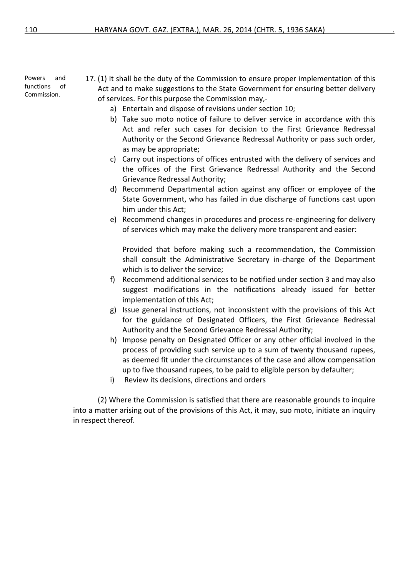Powers and functions of Commission.

17. (1) It shall be the duty of the Commission to ensure proper implementation of this Act and to make suggestions to the State Government for ensuring better delivery of services. For this purpose the Commission may,-

- a) Entertain and dispose of revisions under section 10;
- b) Take suo moto notice of failure to deliver service in accordance with this Act and refer such cases for decision to the First Grievance Redressal Authority or the Second Grievance Redressal Authority or pass such order, as may be appropriate;
- c) Carry out inspections of offices entrusted with the delivery of services and the offices of the First Grievance Redressal Authority and the Second Grievance Redressal Authority;
- d) Recommend Departmental action against any officer or employee of the State Government, who has failed in due discharge of functions cast upon him under this Act;
- e) Recommend changes in procedures and process re-engineering for delivery of services which may make the delivery more transparent and easier:

Provided that before making such a recommendation, the Commission shall consult the Administrative Secretary in-charge of the Department which is to deliver the service;

- f) Recommend additional services to be notified under section 3 and may also suggest modifications in the notifications already issued for better implementation of this Act;
- g) Issue general instructions, not inconsistent with the provisions of this Act for the guidance of Designated Officers, the First Grievance Redressal Authority and the Second Grievance Redressal Authority;
- h) Impose penalty on Designated Officer or any other official involved in the process of providing such service up to a sum of twenty thousand rupees, as deemed fit under the circumstances of the case and allow compensation up to five thousand rupees, to be paid to eligible person by defaulter;
- i) Review its decisions, directions and orders

(2) Where the Commission is satisfied that there are reasonable grounds to inquire into a matter arising out of the provisions of this Act, it may, suo moto, initiate an inquiry in respect thereof.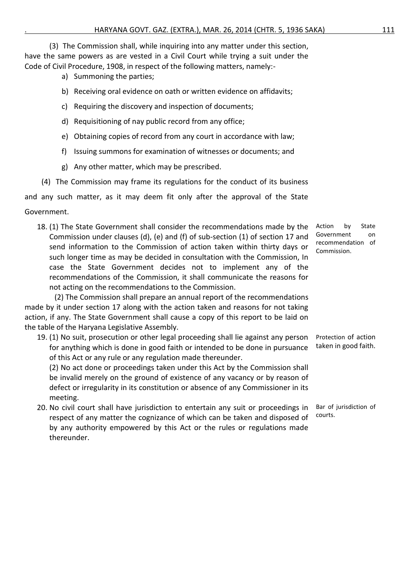(3) The Commission shall, while inquiring into any matter under this section, have the same powers as are vested in a Civil Court while trying a suit under the Code of Civil Procedure, 1908, in respect of the following matters, namely:-

- a) Summoning the parties;
- b) Receiving oral evidence on oath or written evidence on affidavits;
- c) Requiring the discovery and inspection of documents;
- d) Requisitioning of nay public record from any office;
- e) Obtaining copies of record from any court in accordance with law;
- f) Issuing summons for examination of witnesses or documents; and
- g) Any other matter, which may be prescribed.
- (4) The Commission may frame its regulations for the conduct of its business

and any such matter, as it may deem fit only after the approval of the State

## Government.

18. (1) The State Government shall consider the recommendations made by the Commission under clauses (d), (e) and (f) of sub-section (1) of section 17 and send information to the Commission of action taken within thirty days or such longer time as may be decided in consultation with the Commission, In case the State Government decides not to implement any of the recommendations of the Commission, it shall communicate the reasons for not acting on the recommendations to the Commission.

 (2) The Commission shall prepare an annual report of the recommendations made by it under section 17 along with the action taken and reasons for not taking action, if any. The State Government shall cause a copy of this report to be laid on the table of the Haryana Legislative Assembly.

19. (1) No suit, prosecution or other legal proceeding shall lie against any person for anything which is done in good faith or intended to be done in pursuance of this Act or any rule or any regulation made thereunder.

(2) No act done or proceedings taken under this Act by the Commission shall be invalid merely on the ground of existence of any vacancy or by reason of defect or irregularity in its constitution or absence of any Commissioner in its meeting.

20. No civil court shall have jurisdiction to entertain any suit or proceedings in respect of any matter the cognizance of which can be taken and disposed of by any authority empowered by this Act or the rules or regulations made thereunder. courts.

Action by State Government on recommendation of Commission.

Protection of action taken in good faith.

Bar of jurisdiction of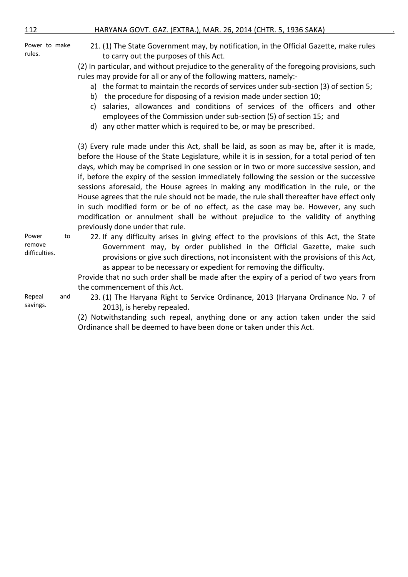Power to make rules.

Power to

Repeal and

remove difficulties.

savings.

21. (1) The State Government may, by notification, in the Official Gazette, make rules to carry out the purposes of this Act.

(2) In particular, and without prejudice to the generality of the foregoing provisions, such rules may provide for all or any of the following matters, namely:-

- a) the format to maintain the records of services under sub-section (3) of section 5;
- b) the procedure for disposing of a revision made under section 10;
- c) salaries, allowances and conditions of services of the officers and other employees of the Commission under sub-section (5) of section 15; and
- d) any other matter which is required to be, or may be prescribed.

(3) Every rule made under this Act, shall be laid, as soon as may be, after it is made, before the House of the State Legislature, while it is in session, for a total period of ten days, which may be comprised in one session or in two or more successive session, and if, before the expiry of the session immediately following the session or the successive sessions aforesaid, the House agrees in making any modification in the rule, or the House agrees that the rule should not be made, the rule shall thereafter have effect only in such modified form or be of no effect, as the case may be. However, any such modification or annulment shall be without prejudice to the validity of anything previously done under that rule.

22. If any difficulty arises in giving effect to the provisions of this Act, the State Government may, by order published in the Official Gazette, make such provisions or give such directions, not inconsistent with the provisions of this Act, as appear to be necessary or expedient for removing the difficulty.

Provide that no such order shall be made after the expiry of a period of two years from the commencement of this Act.

23. (1) The Haryana Right to Service Ordinance, 2013 (Haryana Ordinance No. 7 of 2013), is hereby repealed.

(2) Notwithstanding such repeal, anything done or any action taken under the said Ordinance shall be deemed to have been done or taken under this Act.